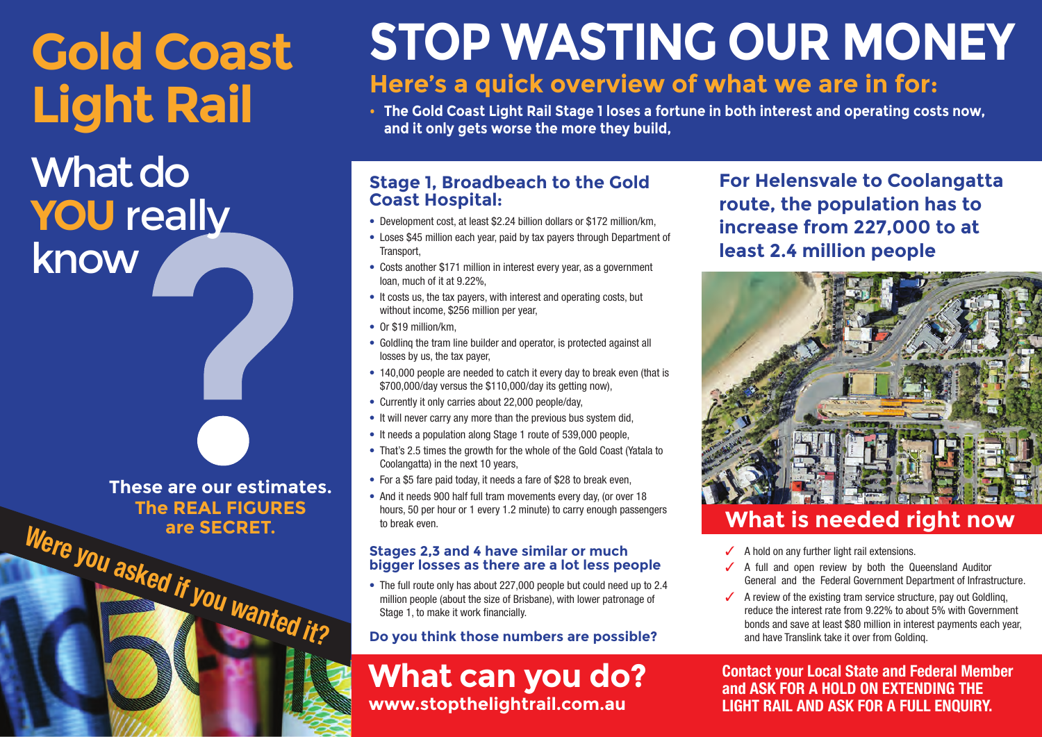# **Gold Coast Light Rail**

What do **YOU** really know

are SECRET.<br>
Were you asked if you wanted it? **These are our estimates. The REAL FIGURES**

# **STOP WASTING OUR MONEY**

# **Here's a quick overview of what we are in for:**

**• The Gold Coast Light Rail Stage 1 loses a fortune in both interest and operating costs now, and it only gets worse the more they build,**

## **Stage 1, Broadbeach to the Gold Coast Hospital:**

- Development cost, at least \$2.24 billion dollars or \$172 million/km,
- Loses \$45 million each year, paid by tax payers through Department of Transport,
- Costs another \$171 million in interest every year, as a government loan, much of it at 9.22%,
- It costs us, the tax payers, with interest and operating costs, but without income, \$256 million per year,
- Or \$19 million/km
- Goldlinq the tram line builder and operator, is protected against all losses by us, the tax payer,
- 140,000 people are needed to catch it every day to break even (that is \$700,000/day versus the \$110,000/day its getting now),
- Currently it only carries about 22,000 people/day,
- It will never carry any more than the previous bus system did,
- It needs a population along Stage 1 route of 539,000 people,
- That's 2.5 times the growth for the whole of the Gold Coast (Yatala to Coolangatta) in the next 10 years.
- For a \$5 fare paid today, it needs a fare of \$28 to break even,
- And it needs 900 half full tram movements every day, (or over 18 hours, 50 per hour or 1 every 1.2 minute) to carry enough passengers to break even.

#### **Stages 2,3 and 4 have similar or much bigger losses as there are a lot less people**

• The full route only has about 227,000 people but could need up to 2.4 million people (about the size of Brisbane), with lower patronage of Stage 1, to make it work financially.

## **Do you think those numbers are possible?**

**What can you do? www.stopthelightrail.com.au** 

**For Helensvale to Coolangatta route, the population has to increase from 227,000 to at least 2.4 million people**



# **What is needed right now**

- ✓ A hold on any further light rail extensions.
- ✓ A full and open review by both the Queensland Auditor General and the Federal Government Department of Infrastructure.
- $\checkmark$  A review of the existing tram service structure, pay out Goldling, reduce the interest rate from 9.22% to about 5% with Government bonds and save at least \$80 million in interest payments each year, and have Translink take it over from Goldinq.

**Contact your Local State and Federal Member and ASK FOR A HOLD ON EXTENDING THE LIGHT RAIL AND ASK FOR A FULL ENQUIRY.**